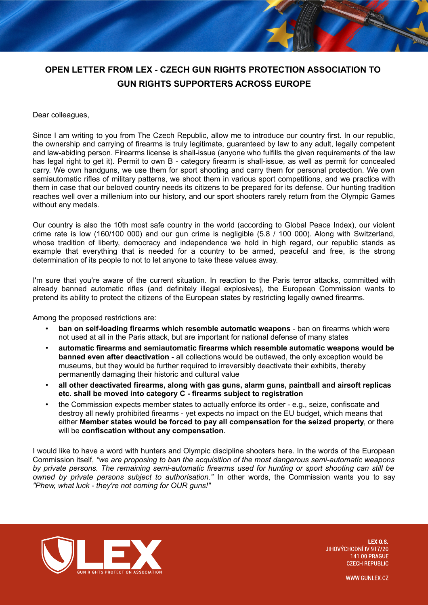## **OPEN LETTER FROM LEX - CZECH GUN RIGHTS PROTECTION ASSOCIATION TO GUN RIGHTS SUPPORTERS ACROSS EUROPE**

## Dear colleagues,

Since I am writing to you from The Czech Republic, allow me to introduce our country first. In our republic, the ownership and carrying of firearms is truly legitimate, guaranteed by law to any adult, legally competent and law-abiding person. Firearms license is shall-issue (anyone who fulfills the given requirements of the law has legal right to get it). Permit to own B - category firearm is shall-issue, as well as permit for concealed carry. We own handguns, we use them for sport shooting and carry them for personal protection. We own semiautomatic rifles of military patterns, we shoot them in various sport competitions, and we practice with them in case that our beloved country needs its citizens to be prepared for its defense. Our hunting tradition reaches well over a millenium into our history, and our sport shooters rarely return from the Olympic Games without any medals.

Our country is also the 10th most safe country in the world (according to Global Peace Index), our violent crime rate is low (160/100 000) and our gun crime is negligible (5.8  $/$  100 000). Along with Switzerland, whose tradition of liberty, democracy and independence we hold in high regard, our republic stands as example that everything that is needed for a country to be armed, peaceful and free, is the strong determination of its people to not to let anyone to take these values away.

I'm sure that you're aware of the current situation. In reaction to the Paris terror attacks, committed with already banned automatic rifles (and definitely illegal explosives), the European Commission wants to pretend its ability to protect the citizens of the European states by restricting legally owned firearms.

Among the proposed restrictions are:

- **ban on self-loading firearms which resemble automatic weapons** ban on firearms which were not used at all in the Paris attack, but are important for national defense of many states
- **automatic firearms and semiautomatic firearms which resemble automatic weapons would be banned even after deactivation** - all collections would be outlawed, the only exception would be museums, but they would be further required to irreversibly deactivate their exhibits, thereby permanently damaging their historic and cultural value
- **all other deactivated firearms, along with gas guns, alarm guns, paintball and airsoft replicas etc. shall be moved into category C - firearms subject to registration**
- the Commission expects member states to actually enforce its order e.g., seize, confiscate and destroy all newly prohibited firearms - yet expects no impact on the EU budget, which means that either **Member states would be forced to pay all compensation for the seized property**, or there will be **confiscation without any compensation**.

I would like to have a word with hunters and Olympic discipline shooters here. In the words of the European Commission itself, *"we are proposing to ban the acquisition of the most dangerous semi-automatic weapons by private persons. The remaining semi-automatic firearms used for hunting or sport shooting can still be owned by private persons subject to authorisation."* In other words, the Commission wants you to say *"Phew, what luck - they're not coming for OUR guns!"*



**IFXOS** JIHOVÝCHODNÍ IV 917/20 **141 00 PRAGUE CZECH REPUBLIC** 

**WWW.GUNLEX.CZ**